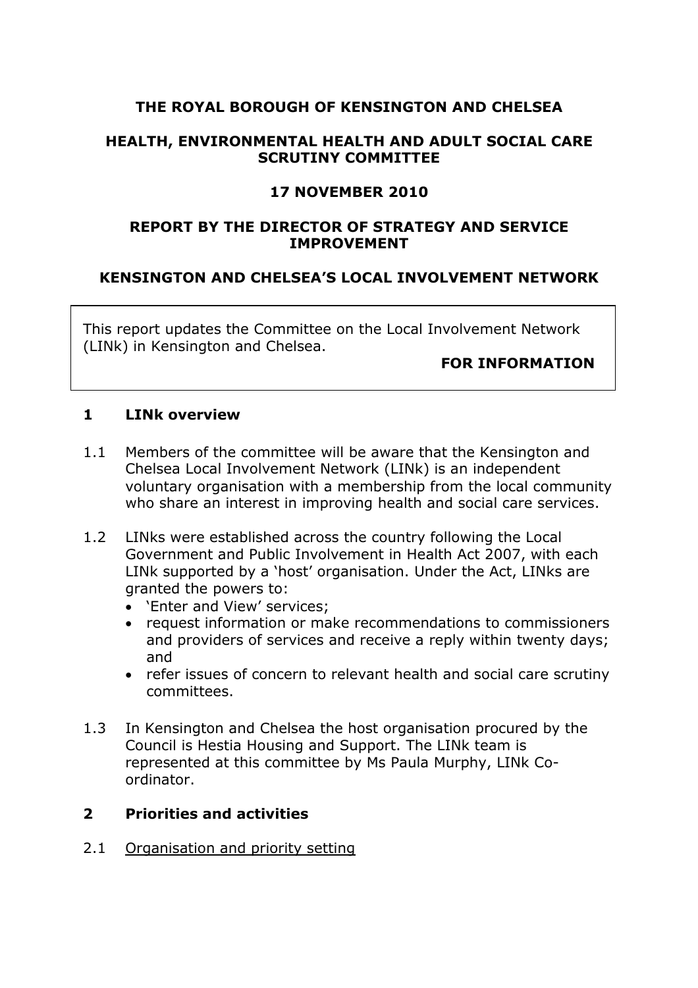## **THE ROYAL BOROUGH OF KENSINGTON AND CHELSEA**

### **HEALTH, ENVIRONMENTAL HEALTH AND ADULT SOCIAL CARE SCRUTINY COMMITTEE**

## **17 NOVEMBER 2010**

### **REPORT BY THE DIRECTOR OF STRATEGY AND SERVICE IMPROVEMENT**

# **KENSINGTON AND CHELSEA'S LOCAL INVOLVEMENT NETWORK**

This report updates the Committee on the Local Involvement Network (LINk) in Kensington and Chelsea.

#### **FOR INFORMATION**

#### **1 LINk overview**

- 1.1 Members of the committee will be aware that the Kensington and Chelsea Local Involvement Network (LINk) is an independent voluntary organisation with a membership from the local community who share an interest in improving health and social care services.
- 1.2 LINks were established across the country following the Local Government and Public Involvement in Health Act 2007, with each LINk supported by a 'host' organisation. Under the Act, LINks are granted the powers to:
	- 'Enter and View' services;
	- request information or make recommendations to commissioners and providers of services and receive a reply within twenty days; and
	- refer issues of concern to relevant health and social care scrutiny committees.
- 1.3 In Kensington and Chelsea the host organisation procured by the Council is Hestia Housing and Support. The LINk team is represented at this committee by Ms Paula Murphy, LINk Coordinator.

#### **2 Priorities and activities**

2.1 Organisation and priority setting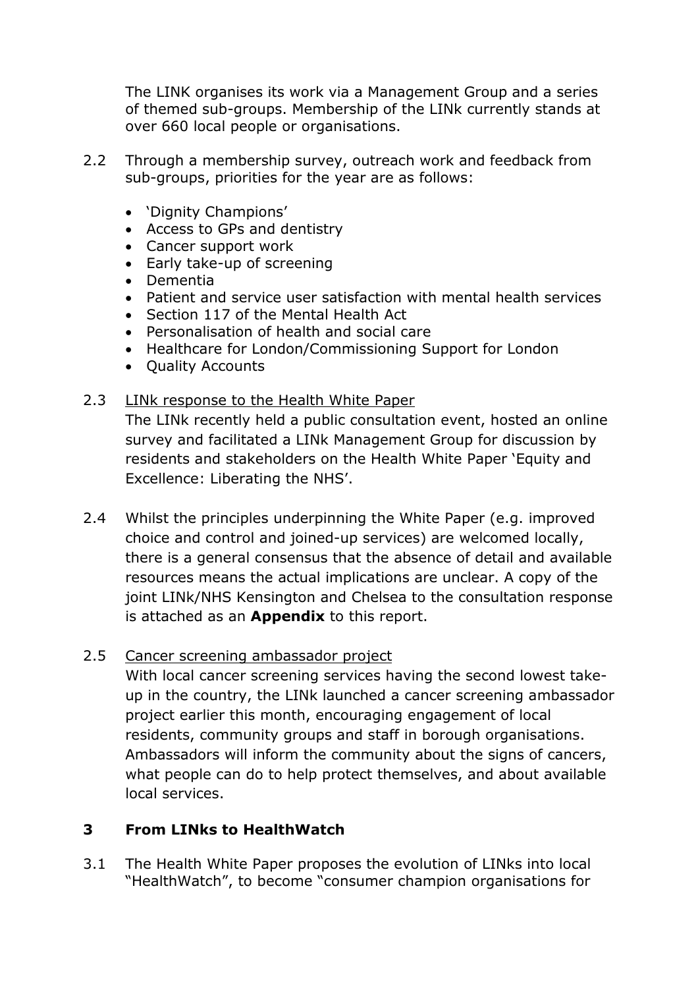The LINK organises its work via a Management Group and a series of themed sub-groups. Membership of the LINk currently stands at over 660 local people or organisations.

- 2.2 Through a membership survey, outreach work and feedback from sub-groups, priorities for the year are as follows:
	- 'Dignity Champions'
	- Access to GPs and dentistry
	- Cancer support work
	- Early take-up of screening
	- Dementia
	- Patient and service user satisfaction with mental health services
	- Section 117 of the Mental Health Act
	- Personalisation of health and social care
	- Healthcare for London/Commissioning Support for London
	- Quality Accounts

### 2.3 LINk response to the Health White Paper

The LINk recently held a public consultation event, hosted an online survey and facilitated a LINk Management Group for discussion by residents and stakeholders on the Health White Paper 'Equity and Excellence: Liberating the NHS'.

2.4 Whilst the principles underpinning the White Paper (e.g. improved choice and control and joined-up services) are welcomed locally, there is a general consensus that the absence of detail and available resources means the actual implications are unclear. A copy of the joint LINk/NHS Kensington and Chelsea to the consultation response is attached as an **Appendix** to this report.

# 2.5 Cancer screening ambassador project

With local cancer screening services having the second lowest takeup in the country, the LINk launched a cancer screening ambassador project earlier this month, encouraging engagement of local residents, community groups and staff in borough organisations. Ambassadors will inform the community about the signs of cancers, what people can do to help protect themselves, and about available local services.

# **3 From LINks to HealthWatch**

3.1 The Health White Paper proposes the evolution of LINks into local "HealthWatch", to become "consumer champion organisations for